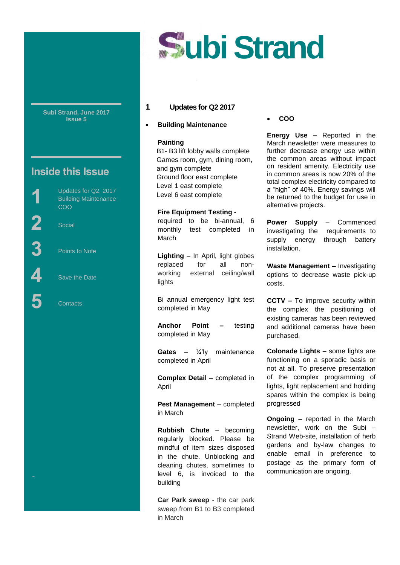

**Subi Strand, June 2017 Issue 5**

# **Inside this Issue**

Updates for Q2, 2017 Building Maintenance COO

**2** Social

Street

**1**

**3** Points to Note

**4** Save the Date

**5** Contacts

## **1 Updates for Q2 2017**

**Building Maintenance**

#### **Painting**

 B1- B3 lift lobby walls complete Games room, gym, dining room, and gym complete Ground floor east complete Level 1 east complete Level 6 east complete

**Fire Equipment Testing**  required to be bi-annual, 6 monthly test completed in March

**Lighting** – In April, light globes replaced for all nonworking external ceiling/wall lights

Bi annual emergency light test completed in May

**Anchor Point –** testing completed in May

**Gates** – ¼'ly maintenance completed in April

**Complex Detail –** completed in April

**Pest Management** – completed in March

**Rubbish Chute** – becoming regularly blocked. Please be mindful of item sizes disposed in the chute. Unblocking and cleaning chutes, sometimes to level 6, is invoiced to the building

**Car Park sweep** - the car park sweep from B1 to B3 completed in March

**COO** 

**Energy Use –** Reported in the March newsletter were measures to further decrease energy use within the common areas without impact on resident amenity. Electricity use in common areas is now 20% of the total complex electricity compared to a "high" of 40%. Energy savings will be returned to the budget for use in alternative projects.

**Power Supply** – Commenced investigating the requirements to supply energy through battery installation.

**Waste Management - Investigating** options to decrease waste pick-up costs.

**CCTV –** To improve security within the complex the positioning of existing cameras has been reviewed and additional cameras have been purchased.

**Colonade Lights –** some lights are functioning on a sporadic basis or not at all. To preserve presentation of the complex programming of lights, light replacement and holding spares within the complex is being progressed

**Ongoing** – reported in the March newsletter, work on the Subi – Strand Web-site, installation of herb gardens and by-law changes to enable email in preference to postage as the primary form of communication are ongoing.